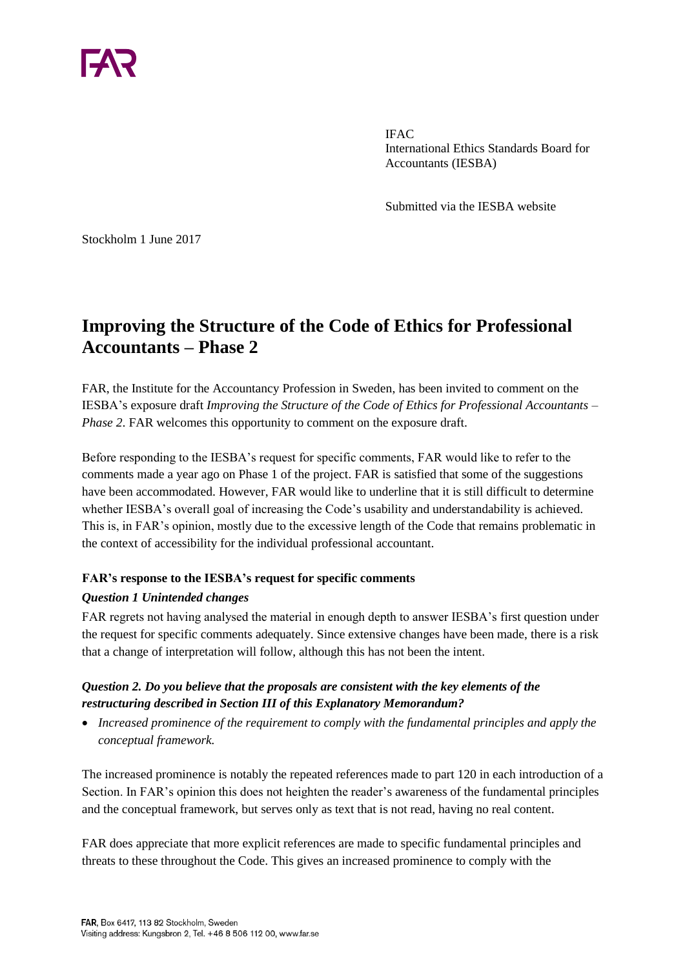

IFAC International Ethics Standards Board for Accountants (IESBA)

Submitted via the IESBA website

Stockholm 1 June 2017

# **Improving the Structure of the Code of Ethics for Professional Accountants – Phase 2**

FAR, the Institute for the Accountancy Profession in Sweden, has been invited to comment on the IESBA's exposure draft *Improving the Structure of the Code of Ethics for Professional Accountants – Phase 2.* FAR welcomes this opportunity to comment on the exposure draft.

Before responding to the IESBA's request for specific comments, FAR would like to refer to the comments made a year ago on Phase 1 of the project. FAR is satisfied that some of the suggestions have been accommodated. However, FAR would like to underline that it is still difficult to determine whether IESBA's overall goal of increasing the Code's usability and understandability is achieved. This is, in FAR's opinion, mostly due to the excessive length of the Code that remains problematic in the context of accessibility for the individual professional accountant.

#### **FAR's response to the IESBA's request for specific comments**

#### *Question 1 Unintended changes*

FAR regrets not having analysed the material in enough depth to answer IESBA's first question under the request for specific comments adequately. Since extensive changes have been made, there is a risk that a change of interpretation will follow, although this has not been the intent.

#### *Question 2. Do you believe that the proposals are consistent with the key elements of the restructuring described in Section III of this Explanatory Memorandum?*

 *Increased prominence of the requirement to comply with the fundamental principles and apply the conceptual framework.* 

The increased prominence is notably the repeated references made to part 120 in each introduction of a Section. In FAR's opinion this does not heighten the reader's awareness of the fundamental principles and the conceptual framework, but serves only as text that is not read, having no real content.

FAR does appreciate that more explicit references are made to specific fundamental principles and threats to these throughout the Code. This gives an increased prominence to comply with the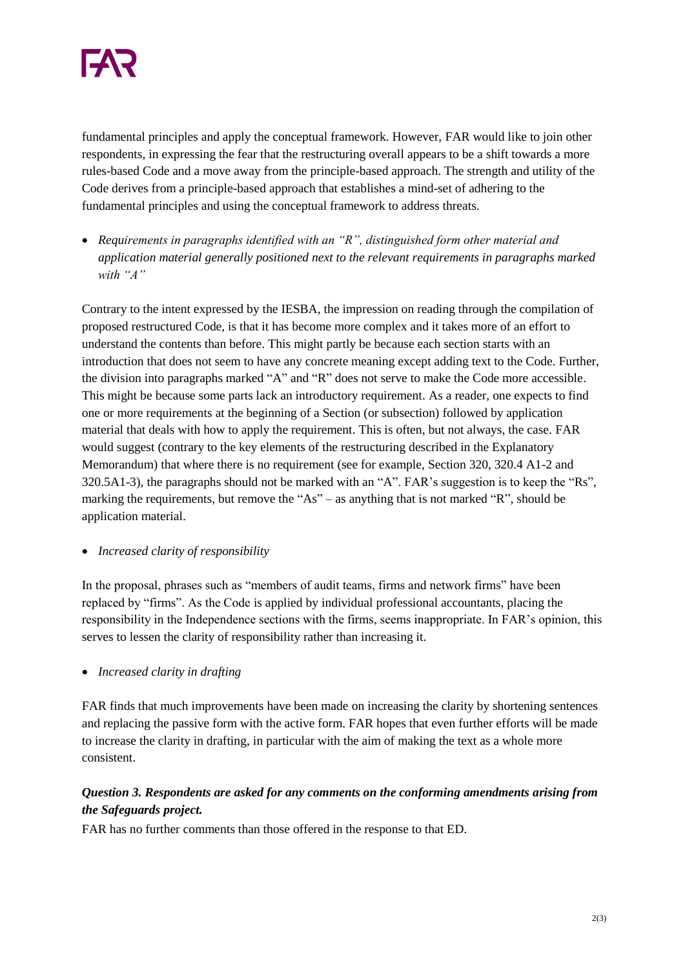

fundamental principles and apply the conceptual framework. However, FAR would like to join other respondents, in expressing the fear that the restructuring overall appears to be a shift towards a more rules-based Code and a move away from the principle-based approach. The strength and utility of the Code derives from a principle-based approach that establishes a mind-set of adhering to the fundamental principles and using the conceptual framework to address threats.

 *Requirements in paragraphs identified with an "R", distinguished form other material and application material generally positioned next to the relevant requirements in paragraphs marked with "A"* 

Contrary to the intent expressed by the IESBA, the impression on reading through the compilation of proposed restructured Code, is that it has become more complex and it takes more of an effort to understand the contents than before. This might partly be because each section starts with an introduction that does not seem to have any concrete meaning except adding text to the Code. Further, the division into paragraphs marked "A" and "R" does not serve to make the Code more accessible. This might be because some parts lack an introductory requirement. As a reader, one expects to find one or more requirements at the beginning of a Section (or subsection) followed by application material that deals with how to apply the requirement. This is often, but not always, the case. FAR would suggest (contrary to the key elements of the restructuring described in the Explanatory Memorandum) that where there is no requirement (see for example, Section 320, 320.4 A1-2 and 320.5A1-3), the paragraphs should not be marked with an "A". FAR's suggestion is to keep the "Rs", marking the requirements, but remove the "As" – as anything that is not marked "R", should be application material.

*Increased clarity of responsibility*

In the proposal, phrases such as "members of audit teams, firms and network firms" have been replaced by "firms". As the Code is applied by individual professional accountants, placing the responsibility in the Independence sections with the firms, seems inappropriate. In FAR's opinion, this serves to lessen the clarity of responsibility rather than increasing it.

*Increased clarity in drafting*

FAR finds that much improvements have been made on increasing the clarity by shortening sentences and replacing the passive form with the active form. FAR hopes that even further efforts will be made to increase the clarity in drafting, in particular with the aim of making the text as a whole more consistent.

## *Question 3. Respondents are asked for any comments on the conforming amendments arising from the Safeguards project.*

FAR has no further comments than those offered in the response to that ED.